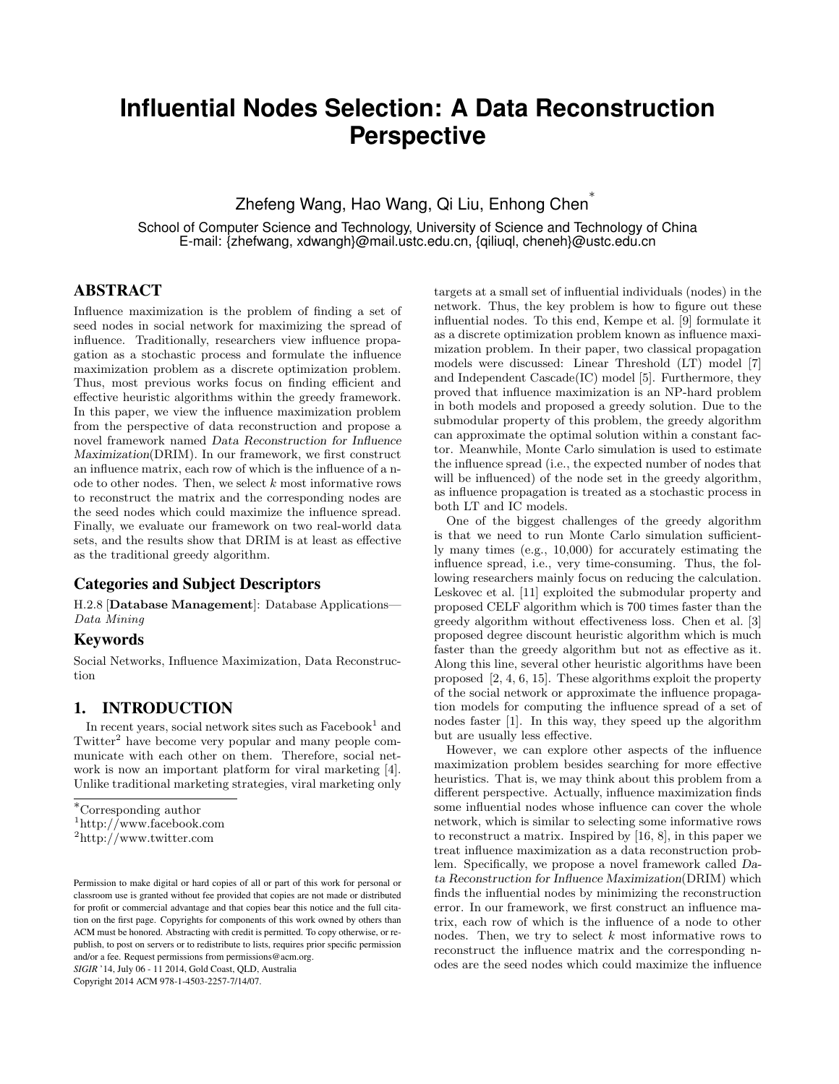# **Influential Nodes Selection: A Data Reconstruction Perspective**

Zhefeng Wang, Hao Wang, Qi Liu, Enhong Chen *∗*

School of Computer Science and Technology, University of Science and Technology of China E-mail: {zhefwang, xdwangh}@mail.ustc.edu.cn, {qiliuql, cheneh}@ustc.edu.cn

# ABSTRACT

Influence maximization is the problem of finding a set of seed nodes in social network for maximizing the spread of influence. Traditionally, researchers view influence propagation as a stochastic process and formulate the influence maximization problem as a discrete optimization problem. Thus, most previous works focus on finding efficient and effective heuristic algorithms within the greedy framework. In this paper, we view the influence maximization problem from the perspective of data reconstruction and propose a novel framework named *Data Reconstruction for Influence Maximization*(DRIM). In our framework, we first construct an influence matrix, each row of which is the influence of a node to other nodes. Then, we select *k* most informative rows to reconstruct the matrix and the corresponding nodes are the seed nodes which could maximize the influence spread. Finally, we evaluate our framework on two real-world data sets, and the results show that DRIM is at least as effective as the traditional greedy algorithm.

#### Categories and Subject Descriptors

H.2.8 [**Database Management**]: Database Applications— *Data Mining*

## Keywords

Social Networks, Influence Maximization, Data Reconstruction

# 1. INTRODUCTION

In recent years, social network sites such as  $Facebook<sup>1</sup>$  and Twitter<sup>2</sup> have become very popular and many people communicate with each other on them. Therefore, social network is now an important platform for viral marketing [4]. Unlike traditional marketing strategies, viral marketing only

*SIGIR* '14, July 06 - 11 2014, Gold Coast, QLD, Australia

Copyright 2014 ACM 978-1-4503-2257-7/14/07.

targets at a small set of influential individuals (nodes) in the network. Thus, the key problem is how to figure out these influential nodes. To this end, Kempe et al. [9] formulate it as a discrete optimization problem known as influence maximization problem. In their paper, two classical propagation models were discussed: Linear Threshold (LT) model [7] and Independent Cascade(IC) model [5]. Furthermore, they proved that influence maximization is an NP-hard problem in both models and proposed a greedy solution. Due to the submodular property of this problem, the greedy algorithm can approximate the optimal solution within a constant factor. Meanwhile, Monte Carlo simulation is used to estimate the influence spread (i.e., the expected number of nodes that will be influenced) of the node set in the greedy algorithm, as influence propagation is treated as a stochastic process in both LT and IC models.

One of the biggest challenges of the greedy algorithm is that we need to run Monte Carlo simulation sufficiently many times (e.g., 10,000) for accurately estimating the influence spread, i.e., very time-consuming. Thus, the following researchers mainly focus on reducing the calculation. Leskovec et al. [11] exploited the submodular property and proposed CELF algorithm which is 700 times faster than the greedy algorithm without effectiveness loss. Chen et al. [3] proposed degree discount heuristic algorithm which is much faster than the greedy algorithm but not as effective as it. Along this line, several other heuristic algorithms have been proposed [2, 4, 6, 15]. These algorithms exploit the property of the social network or approximate the influence propagation models for computing the influence spread of a set of nodes faster [1]. In this way, they speed up the algorithm but are usually less effective.

However, we can explore other aspects of the influence maximization problem besides searching for more effective heuristics. That is, we may think about this problem from a different perspective. Actually, influence maximization finds some influential nodes whose influence can cover the whole network, which is similar to selecting some informative rows to reconstruct a matrix. Inspired by [16, 8], in this paper we treat influence maximization as a data reconstruction problem. Specifically, we propose a novel framework called *Data Reconstruction for Influence Maximization*(DRIM) which finds the influential nodes by minimizing the reconstruction error. In our framework, we first construct an influence matrix, each row of which is the influence of a node to other nodes. Then, we try to select *k* most informative rows to reconstruct the influence matrix and the corresponding nodes are the seed nodes which could maximize the influence

*<sup>∗</sup>*Corresponding author

<sup>1</sup>http://www.facebook.com

<sup>2</sup>http://www.twitter.com

Permission to make digital or hard copies of all or part of this work for personal or classroom use is granted without fee provided that copies are not made or distributed for profit or commercial advantage and that copies bear this notice and the full citation on the first page. Copyrights for components of this work owned by others than ACM must be honored. Abstracting with credit is permitted. To copy otherwise, or republish, to post on servers or to redistribute to lists, requires prior specific permission and/or a fee. Request permissions from permissions@acm.org.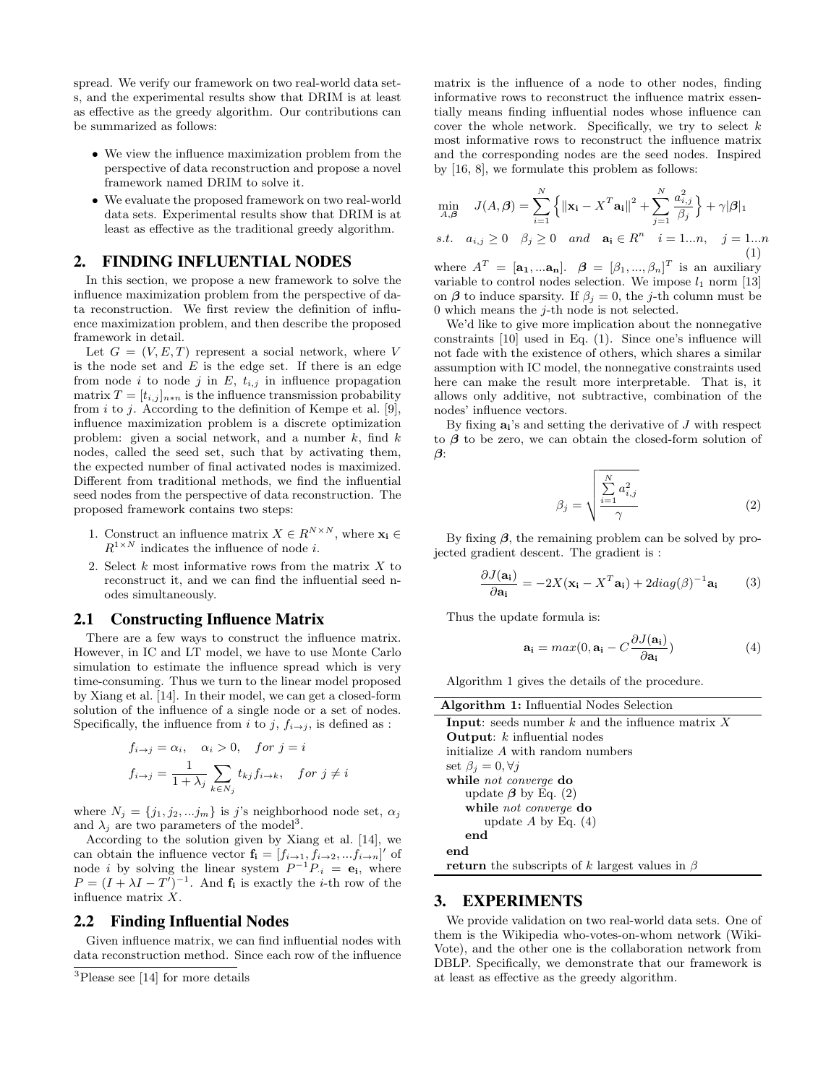spread. We verify our framework on two real-world data sets, and the experimental results show that DRIM is at least as effective as the greedy algorithm. Our contributions can be summarized as follows:

- We view the influence maximization problem from the perspective of data reconstruction and propose a novel framework named DRIM to solve it.
- *•* We evaluate the proposed framework on two real-world data sets. Experimental results show that DRIM is at least as effective as the traditional greedy algorithm.

## 2. FINDING INFLUENTIAL NODES

In this section, we propose a new framework to solve the influence maximization problem from the perspective of data reconstruction. We first review the definition of influence maximization problem, and then describe the proposed framework in detail.

Let  $G = (V, E, T)$  represent a social network, where V is the node set and *E* is the edge set. If there is an edge from node *i* to node *j* in  $E$ ,  $t_{i,j}$  in influence propagation matrix  $T = [t_{i,j}]_{n*n}$  is the influence transmission probability from *i* to *j*. According to the definition of Kempe et al. [9], influence maximization problem is a discrete optimization problem: given a social network, and a number *k*, find *k* nodes, called the seed set, such that by activating them, the expected number of final activated nodes is maximized. Different from traditional methods, we find the influential seed nodes from the perspective of data reconstruction. The proposed framework contains two steps:

- 1. Construct an influence matrix  $X \in R^{N \times N}$ , where  $\mathbf{x_i} \in$  $R^{1 \times N}$  indicates the influence of node *i*.
- 2. Select *k* most informative rows from the matrix *X* to reconstruct it, and we can find the influential seed nodes simultaneously.

## 2.1 Constructing Influence Matrix

There are a few ways to construct the influence matrix. However, in IC and LT model, we have to use Monte Carlo simulation to estimate the influence spread which is very time-consuming. Thus we turn to the linear model proposed by Xiang et al. [14]. In their model, we can get a closed-form solution of the influence of a single node or a set of nodes. Specifically, the influence from *i* to *j*,  $f_{i\rightarrow j}$ , is defined as :

$$
f_{i \to j} = \alpha_i, \quad \alpha_i > 0, \quad \text{for } j = i
$$
\n
$$
f_{i \to j} = \frac{1}{1 + \lambda_j} \sum_{k \in N_j} t_{kj} f_{i \to k}, \quad \text{for } j \neq i
$$

where  $N_j = \{j_1, j_2, \ldots, j_m\}$  is *j*'s neighborhood node set,  $\alpha_j$ and  $\lambda_j$  are two parameters of the model<sup>3</sup>.

According to the solution given by Xiang et al. [14], we can obtain the influence vector  $\mathbf{f_i} = [f_{i \to 1}, f_{i \to 2}, ... f_{i \to n}]'$  of node *i* by solving the linear system  $P^{-1}P_{i} = e_i$ , where  $P = (I + \lambda I - T')^{-1}$ . And  $f_i$  is exactly the *i*-th row of the influence matrix *X*.

#### 2.2 Finding Influential Nodes

Given influence matrix, we can find influential nodes with data reconstruction method. Since each row of the influence matrix is the influence of a node to other nodes, finding informative rows to reconstruct the influence matrix essentially means finding influential nodes whose influence can cover the whole network. Specifically, we try to select *k* most informative rows to reconstruct the influence matrix and the corresponding nodes are the seed nodes. Inspired by [16, 8], we formulate this problem as follows:

$$
\min_{A,\beta} \quad J(A,\beta) = \sum_{i=1}^{N} \left\{ ||\mathbf{x}_i - X^T \mathbf{a}_i||^2 + \sum_{j=1}^{N} \frac{a_{i,j}^2}{\beta_j} \right\} + \gamma |\beta|_1
$$

$$
s.t. \quad a_{i,j} \ge 0 \quad \beta_j \ge 0 \quad and \quad \mathbf{a_i} \in R^n \quad i = 1...n, \quad j = 1...n
$$
\n
$$
(1)
$$

where  $A^T = [\mathbf{a_1}, \dots \mathbf{a_n}]$ .  $\boldsymbol{\beta} = [\beta_1, \dots, \beta_n]^T$  is an auxiliary variable to control nodes selection. We impose  $l_1$  norm [13] on  $\beta$  to induce sparsity. If  $\beta_i = 0$ , the *j*-th column must be 0 which means the *j*-th node is not selected.

We'd like to give more implication about the nonnegative constraints [10] used in Eq. (1). Since one's influence will not fade with the existence of others, which shares a similar assumption with IC model, the nonnegative constraints used here can make the result more interpretable. That is, it allows only additive, not subtractive, combination of the nodes' influence vectors.

By fixing **ai**'s and setting the derivative of *J* with respect to *β* to be zero, we can obtain the closed-form solution of *β*:

$$
\beta_j = \sqrt{\frac{\sum_{i=1}^{N} a_{i,j}^2}{\gamma}}
$$
\n(2)

By fixing *β*, the remaining problem can be solved by projected gradient descent. The gradient is :

$$
\frac{\partial J(\mathbf{a_i})}{\partial \mathbf{a_i}} = -2X(\mathbf{x_i} - X^T \mathbf{a_i}) + 2diag(\beta)^{-1} \mathbf{a_i} \tag{3}
$$

Thus the update formula is:

$$
\mathbf{a_i} = max(0, \mathbf{a_i} - C \frac{\partial J(\mathbf{a_i})}{\partial \mathbf{a_i}})
$$
(4)

Algorithm 1 gives the details of the procedure.

| <b>Algorithm 1:</b> Influential Nodes Selection             |
|-------------------------------------------------------------|
| <b>Input:</b> seeds number $k$ and the influence matrix $X$ |
| <b>Output:</b> $k$ influential nodes                        |
| initialize A with random numbers                            |
| set $\beta_i = 0, \forall j$                                |
| while <i>not converge</i> do                                |
| update $\beta$ by Eq. (2)                                   |
| while not converge do                                       |
| update A by Eq. $(4)$                                       |
| end                                                         |
| end                                                         |
| <b>return</b> the subscripts of k largest values in $\beta$ |

#### 3. EXPERIMENTS

We provide validation on two real-world data sets. One of them is the Wikipedia who-votes-on-whom network (Wiki-Vote), and the other one is the collaboration network from DBLP. Specifically, we demonstrate that our framework is at least as effective as the greedy algorithm.

<sup>3</sup>Please see [14] for more details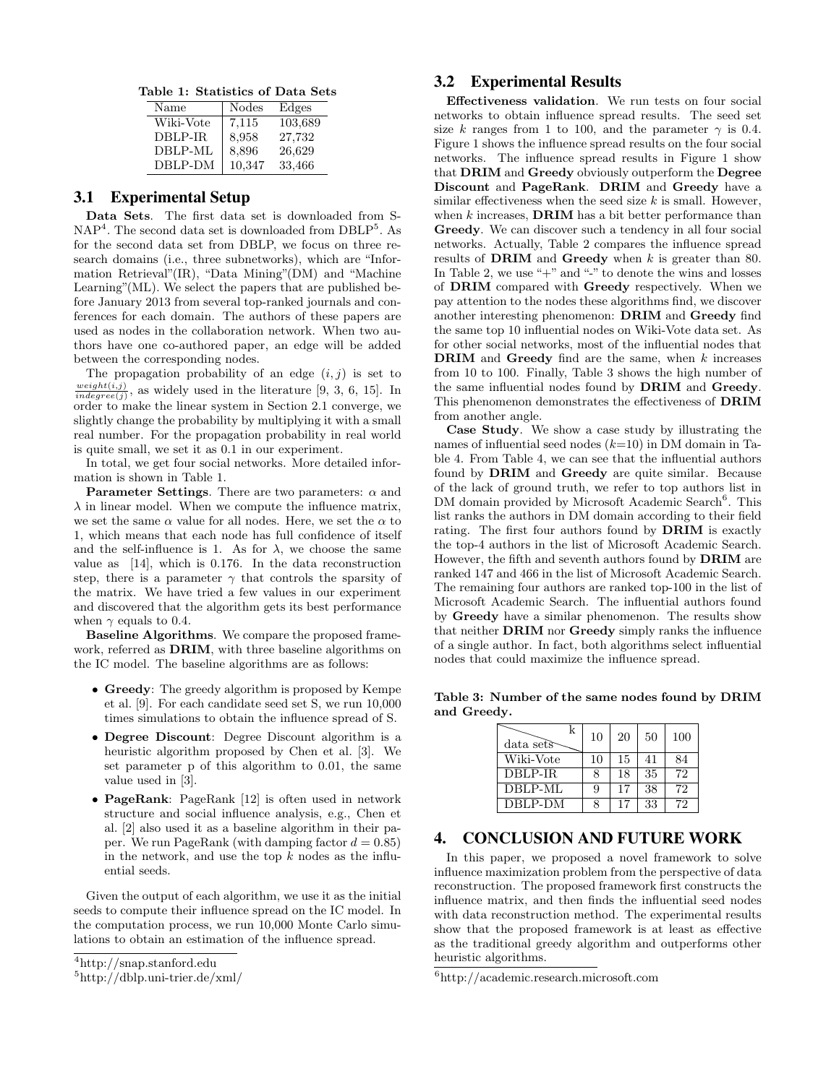**Table 1: Statistics of Data Sets**

| Name      | Nodes  | Edges   |
|-----------|--------|---------|
| Wiki-Vote | 7,115  | 103,689 |
| DBLP-IR   | 8,958  | 27,732  |
| DBLP-ML   | 8,896  | 26,629  |
| DBLP-DM   | 10,347 | 33,466  |

#### 3.1 Experimental Setup

**Data Sets**. The first data set is downloaded from S- $\text{NAP}^4$ . The second data set is downloaded from  $\text{DBLP}^5$ . As for the second data set from DBLP, we focus on three research domains (i.e., three subnetworks), which are "Information Retrieval"(IR), "Data Mining"(DM) and "Machine Learning"(ML). We select the papers that are published before January 2013 from several top-ranked journals and conferences for each domain. The authors of these papers are used as nodes in the collaboration network. When two authors have one co-authored paper, an edge will be added between the corresponding nodes.

The propagation probability of an edge  $(i, j)$  is set to  $\frac{weight(i,j)}{indegree(j)}$ , as widely used in the literature [9, 3, 6, 15]. In order to make the linear system in Section 2.1 converge, we slightly change the probability by multiplying it with a small real number. For the propagation probability in real world is quite small, we set it as 0.1 in our experiment.

In total, we get four social networks. More detailed information is shown in Table 1.

**Parameter Settings**. There are two parameters: *α* and *λ* in linear model. When we compute the influence matrix, we set the same  $\alpha$  value for all nodes. Here, we set the  $\alpha$  to 1, which means that each node has full confidence of itself and the self-influence is 1. As for  $\lambda$ , we choose the same value as [14], which is 0.176. In the data reconstruction step, there is a parameter  $\gamma$  that controls the sparsity of the matrix. We have tried a few values in our experiment and discovered that the algorithm gets its best performance when  $\gamma$  equals to 0.4.

**Baseline Algorithms**. We compare the proposed framework, referred as **DRIM**, with three baseline algorithms on the IC model. The baseline algorithms are as follows:

- *•* **Greedy**: The greedy algorithm is proposed by Kempe et al. [9]. For each candidate seed set S, we run 10,000 times simulations to obtain the influence spread of S.
- *•* **Degree Discount**: Degree Discount algorithm is a heuristic algorithm proposed by Chen et al. [3]. We set parameter p of this algorithm to 0*.*01, the same value used in [3].
- *•* **PageRank**: PageRank [12] is often used in network structure and social influence analysis, e.g., Chen et al. [2] also used it as a baseline algorithm in their paper. We run PageRank (with damping factor  $d = 0.85$ ) in the network, and use the top *k* nodes as the influential seeds.

Given the output of each algorithm, we use it as the initial seeds to compute their influence spread on the IC model. In the computation process, we run 10,000 Monte Carlo simulations to obtain an estimation of the influence spread.

# 3.2 Experimental Results

**Effectiveness validation**. We run tests on four social networks to obtain influence spread results. The seed set size *k* ranges from 1 to 100, and the parameter  $\gamma$  is 0.4. Figure 1 shows the influence spread results on the four social networks. The influence spread results in Figure 1 show that **DRIM** and **Greedy** obviously outperform the **Degree Discount** and **PageRank**. **DRIM** and **Greedy** have a similar effectiveness when the seed size *k* is small. However, when *k* increases, **DRIM** has a bit better performance than **Greedy**. We can discover such a tendency in all four social networks. Actually, Table 2 compares the influence spread results of **DRIM** and **Greedy** when *k* is greater than 80. In Table 2, we use " $+$ " and "-" to denote the wins and losses of **DRIM** compared with **Greedy** respectively. When we pay attention to the nodes these algorithms find, we discover another interesting phenomenon: **DRIM** and **Greedy** find the same top 10 influential nodes on Wiki-Vote data set. As for other social networks, most of the influential nodes that **DRIM** and **Greedy** find are the same, when *k* increases from 10 to 100. Finally, Table 3 shows the high number of the same influential nodes found by **DRIM** and **Greedy**. This phenomenon demonstrates the effectiveness of **DRIM** from another angle.

**Case Study**. We show a case study by illustrating the names of influential seed nodes (*k*=10) in DM domain in Table 4. From Table 4, we can see that the influential authors found by **DRIM** and **Greedy** are quite similar. Because of the lack of ground truth, we refer to top authors list in DM domain provided by Microsoft Academic Search<sup>6</sup>. This list ranks the authors in DM domain according to their field rating. The first four authors found by **DRIM** is exactly the top-4 authors in the list of Microsoft Academic Search. However, the fifth and seventh authors found by **DRIM** are ranked 147 and 466 in the list of Microsoft Academic Search. The remaining four authors are ranked top-100 in the list of Microsoft Academic Search. The influential authors found by **Greedy** have a similar phenomenon. The results show that neither **DRIM** nor **Greedy** simply ranks the influence of a single author. In fact, both algorithms select influential nodes that could maximize the influence spread.

**Table 3: Number of the same nodes found by DRIM and Greedy.**

| k<br>data sets | 10 | 20 | 50 | 100 |
|----------------|----|----|----|-----|
| Wiki-Vote      | 10 | 15 | 41 | 84  |
| DBLP-IR        | 8  | 18 | 35 | 72  |
| DBLP-ML        | 9  | 17 | 38 | 72  |
| DBLP-DM        | 8  |    | 33 | 72  |

#### 4. CONCLUSION AND FUTURE WORK

In this paper, we proposed a novel framework to solve influence maximization problem from the perspective of data reconstruction. The proposed framework first constructs the influence matrix, and then finds the influential seed nodes with data reconstruction method. The experimental results show that the proposed framework is at least as effective as the traditional greedy algorithm and outperforms other heuristic algorithms.

<sup>4</sup>http://snap.stanford.edu

<sup>5</sup>http://dblp.uni-trier.de/xml/

<sup>6</sup>http://academic.research.microsoft.com